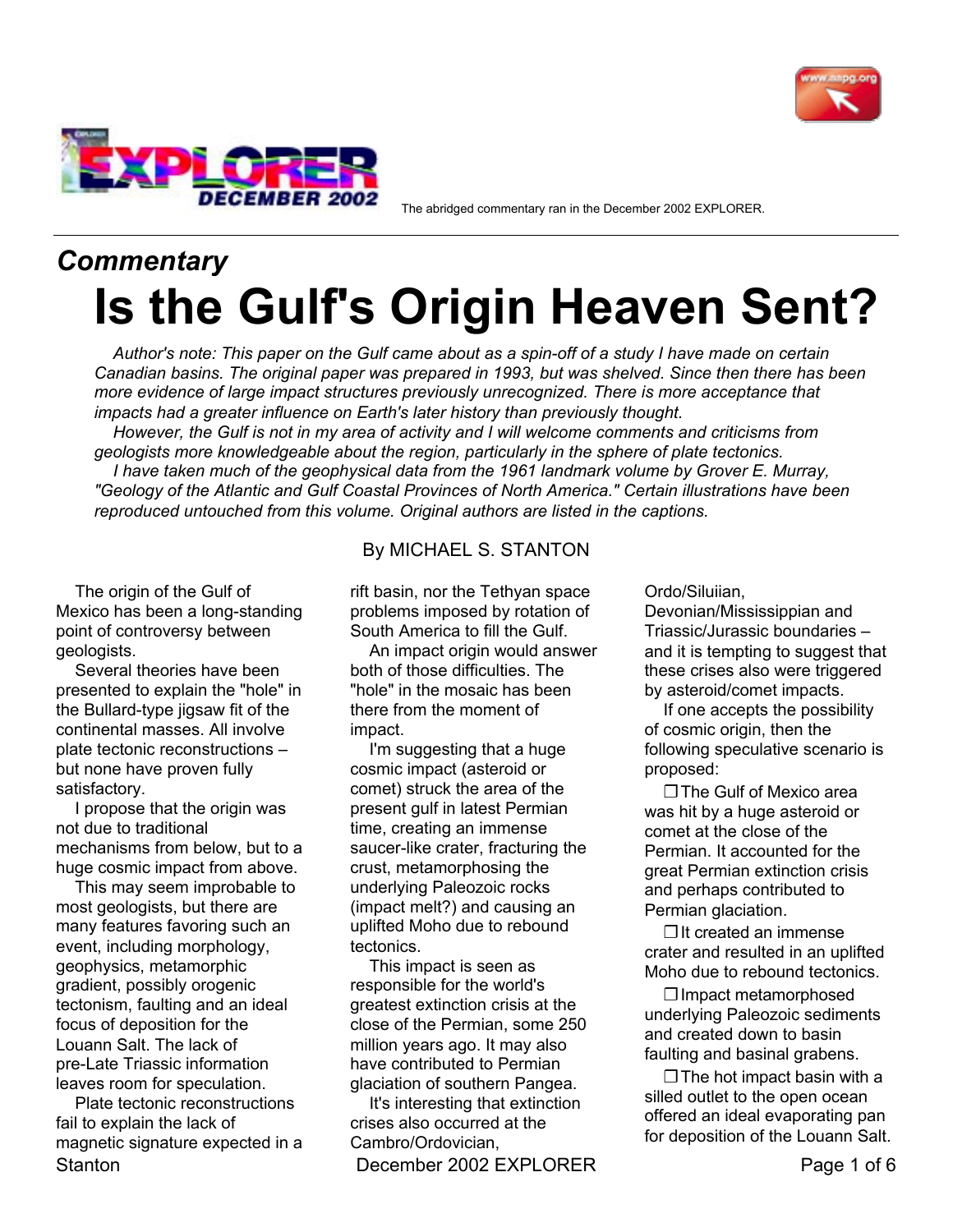



The abridged commentary ran in the December 2002 EXPLORER.

# *Commentary* **Is the Gulf's Origin Heaven Sent?**

*Author's note: This paper on the Gulf came about as a spin-off of a study I have made on certain Canadian basins. The original paper was prepared in 1993, but was shelved. Since then there has been more evidence of large impact structures previously unrecognized. There is more acceptance that impacts had a greater influence on Earth's later history than previously thought.*

*However, the Gulf is not in my area of activity and I will welcome comments and criticisms from geologists more knowledgeable about the region, particularly in the sphere of plate tectonics. I have taken much of the geophysical data from the 1961 landmark volume by Grover E. Murray, "Geology of the Atlantic and Gulf Coastal Provinces of North America." Certain illustrations have been reproduced untouched from this volume. Original authors are listed in the captions.*

The origin of the Gulf of Mexico has been a long-standing point of controversy between geologists.

Several theories have been presented to explain the "hole" in the Bullard-type jigsaw fit of the continental masses. All involve plate tectonic reconstructions but none have proven fully satisfactory.

I propose that the origin was not due to traditional mechanisms from below, but to a huge cosmic impact from above.

This may seem improbable to most geologists, but there are many features favoring such an event, including morphology, geophysics, metamorphic gradient, possibly orogenic tectonism, faulting and an ideal focus of deposition for the Louann Salt. The lack of pre-Late Triassic information leaves room for speculation.

Stanton **December 2002 EXPLORER** Page 1 of 6 Plate tectonic reconstructions fail to explain the lack of magnetic signature expected in a

## By MICHAEL S. STANTON

rift basin, nor the Tethyan space problems imposed by rotation of South America to fill the Gulf.

An impact origin would answer both of those difficulties. The "hole" in the mosaic has been there from the moment of impact.

I'm suggesting that a huge cosmic impact (asteroid or comet) struck the area of the present gulf in latest Permian time, creating an immense saucer-like crater, fracturing the crust, metamorphosing the underlying Paleozoic rocks (impact melt?) and causing an uplifted Moho due to rebound tectonics.

This impact is seen as responsible for the world's greatest extinction crisis at the close of the Permian, some 250 million years ago. It may also have contributed to Permian glaciation of southern Pangea.

It's interesting that extinction crises also occurred at the Cambro/Ordovician,

Ordo/Siluiian,

Devonian/Mississippian and Triassic/Jurassic boundaries ñ and it is tempting to suggest that these crises also were triggered by asteroid/comet impacts.

If one accepts the possibility of cosmic origin, then the following speculative scenario is proposed:

❐ The Gulf of Mexico area was hit by a huge asteroid or comet at the close of the Permian. It accounted for the great Permian extinction crisis and perhaps contributed to Permian glaciation.

❐ It created an immense crater and resulted in an uplifted Moho due to rebound tectonics.

❐ Impact metamorphosed underlying Paleozoic sediments and created down to basin faulting and basinal grabens.

 $\square$  The hot impact basin with a silled outlet to the open ocean offered an ideal evaporating pan for deposition of the Louann Salt.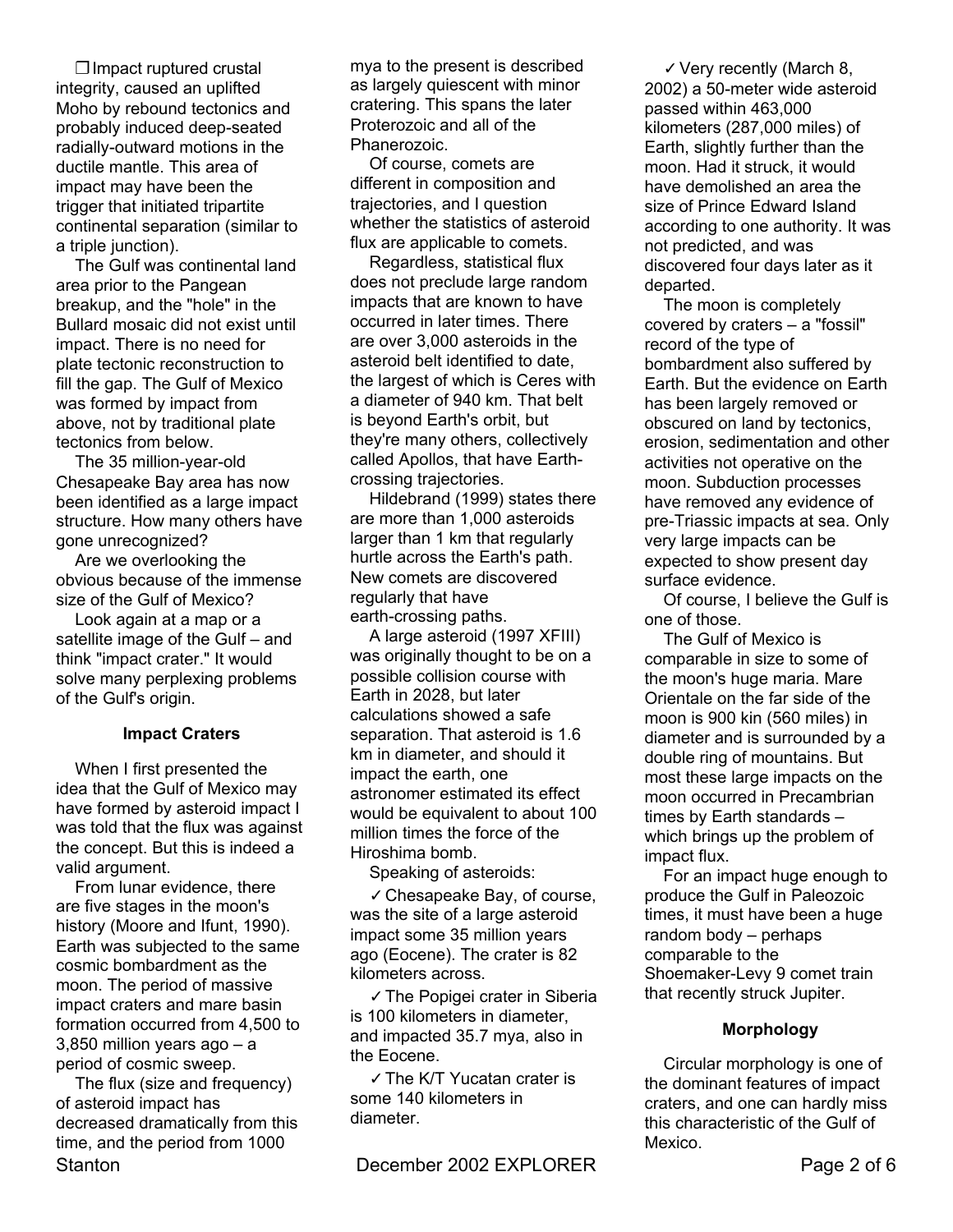❐ Impact ruptured crustal integrity, caused an uplifted Moho by rebound tectonics and probably induced deep-seated radially-outward motions in the ductile mantle. This area of impact may have been the trigger that initiated tripartite continental separation (similar to a triple junction).

The Gulf was continental land area prior to the Pangean breakup, and the "hole" in the Bullard mosaic did not exist until impact. There is no need for plate tectonic reconstruction to fill the gap. The Gulf of Mexico was formed by impact from above, not by traditional plate tectonics from below.

The 35 million-year-old Chesapeake Bay area has now been identified as a large impact structure. How many others have gone unrecognized?

Are we overlooking the obvious because of the immense size of the Gulf of Mexico?

Look again at a map or a satellite image of the Gulf – and think "impact crater." It would solve many perplexing problems of the Gulf's origin.

#### **Impact Craters**

When I first presented the idea that the Gulf of Mexico may have formed by asteroid impact I was told that the flux was against the concept. But this is indeed a valid argument.

From lunar evidence, there are five stages in the moon's history (Moore and Ifunt, 1990). Earth was subjected to the same cosmic bombardment as the moon. The period of massive impact craters and mare basin formation occurred from 4,500 to  $3,850$  million years ago  $- a$ period of cosmic sweep.

Stanton **December 2002 EXPLORER** Page 2 of 6 The flux (size and frequency) of asteroid impact has decreased dramatically from this time, and the period from 1000

mya to the present is described as largely quiescent with minor cratering. This spans the later Proterozoic and all of the Phanerozoic.

Of course, comets are different in composition and trajectories, and I question whether the statistics of asteroid flux are applicable to comets.

Regardless, statistical flux does not preclude large random impacts that are known to have occurred in later times. There are over 3,000 asteroids in the asteroid belt identified to date, the largest of which is Ceres with a diameter of 940 km. That belt is beyond Earth's orbit, but they're many others, collectively called Apollos, that have Earthcrossing trajectories.

Hildebrand (1999) states there are more than 1,000 asteroids larger than 1 km that regularly hurtle across the Earth's path. New comets are discovered regularly that have earth-crossing paths.

A large asteroid (1997 XFIII) was originally thought to be on a possible collision course with Earth in 2028, but later calculations showed a safe separation. That asteroid is 1.6 km in diameter, and should it impact the earth, one astronomer estimated its effect would be equivalent to about 100 million times the force of the Hiroshima bomb.

Speaking of asteroids:

✓ Chesapeake Bay, of course, was the site of a large asteroid impact some 35 million years ago (Eocene). The crater is 82 kilometers across.

✓ The Popigei crater in Siberia is 100 kilometers in diameter, and impacted 35.7 mya, also in the Eocene.

✓ The K/T Yucatan crater is some 140 kilometers in diameter.

✓ Very recently (March 8, 2002) a 50-meter wide asteroid passed within 463,000 kilometers (287,000 miles) of Earth, slightly further than the moon. Had it struck, it would have demolished an area the size of Prince Edward Island according to one authority. It was not predicted, and was discovered four days later as it departed.

The moon is completely covered by craters  $-$  a "fossil" record of the type of bombardment also suffered by Earth. But the evidence on Earth has been largely removed or obscured on land by tectonics, erosion, sedimentation and other activities not operative on the moon. Subduction processes have removed any evidence of pre-Triassic impacts at sea. Only very large impacts can be expected to show present day surface evidence.

Of course, I believe the Gulf is one of those.

The Gulf of Mexico is comparable in size to some of the moon's huge maria. Mare Orientale on the far side of the moon is 900 kin (560 miles) in diameter and is surrounded by a double ring of mountains. But most these large impacts on the moon occurred in Precambrian times by Earth standards  $$ which brings up the problem of impact flux.

For an impact huge enough to produce the Gulf in Paleozoic times, it must have been a huge random body  $-$  perhaps comparable to the Shoemaker-Levy 9 comet train that recently struck Jupiter.

#### **Morphology**

Circular morphology is one of the dominant features of impact craters, and one can hardly miss this characteristic of the Gulf of Mexico.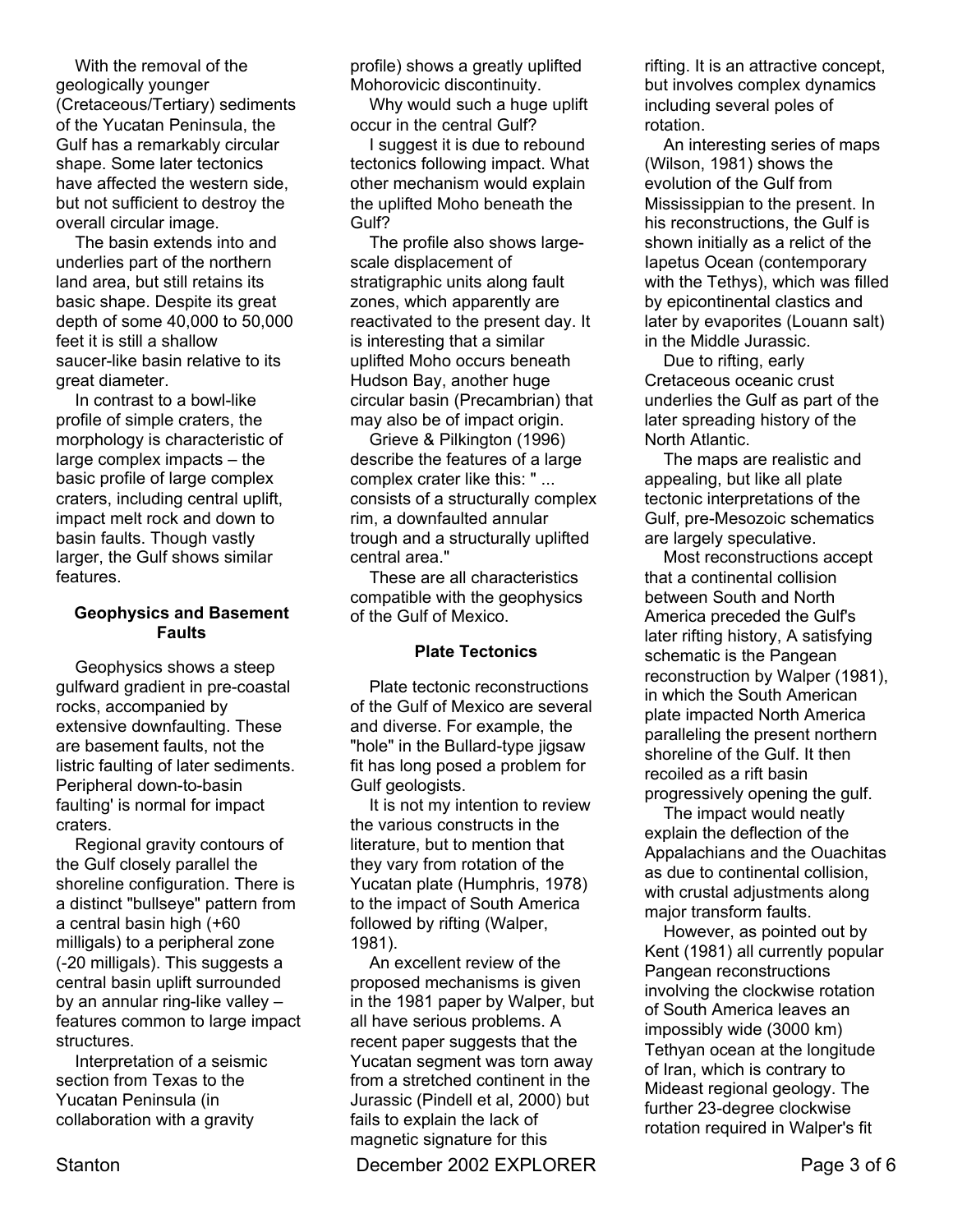With the removal of the geologically younger (Cretaceous/Tertiary) sediments of the Yucatan Peninsula, the Gulf has a remarkably circular shape. Some later tectonics have affected the western side, but not sufficient to destroy the overall circular image.

The basin extends into and underlies part of the northern land area, but still retains its basic shape. Despite its great depth of some 40,000 to 50,000 feet it is still a shallow saucer-like basin relative to its great diameter.

In contrast to a bowl-like profile of simple craters, the morphology is characteristic of large complex impacts  $-$  the basic profile of large complex craters, including central uplift, impact melt rock and down to basin faults. Though vastly larger, the Gulf shows similar features.

#### **Geophysics and Basement Faults**

Geophysics shows a steep gulfward gradient in pre-coastal rocks, accompanied by extensive downfaulting. These are basement faults, not the listric faulting of later sediments. Peripheral down-to-basin faulting' is normal for impact craters.

Regional gravity contours of the Gulf closely parallel the shoreline configuration. There is a distinct "bullseye" pattern from a central basin high (+60 milligals) to a peripheral zone (-20 milligals). This suggests a central basin uplift surrounded by an annular ring-like valley  $$ features common to large impact structures.

Interpretation of a seismic section from Texas to the Yucatan Peninsula (in collaboration with a gravity

profile) shows a greatly uplifted Mohorovicic discontinuity.

Why would such a huge uplift occur in the central Gulf?

I suggest it is due to rebound tectonics following impact. What other mechanism would explain the uplifted Moho beneath the Gulf?

The profile also shows largescale displacement of stratigraphic units along fault zones, which apparently are reactivated to the present day. It is interesting that a similar uplifted Moho occurs beneath Hudson Bay, another huge circular basin (Precambrian) that may also be of impact origin.

Grieve & Pilkington (1996) describe the features of a large complex crater like this: " ... consists of a structurally complex rim, a downfaulted annular trough and a structurally uplifted central area."

These are all characteristics compatible with the geophysics of the Gulf of Mexico.

#### **Plate Tectonics**

Plate tectonic reconstructions of the Gulf of Mexico are several and diverse. For example, the "hole" in the Bullard-type jigsaw fit has long posed a problem for Gulf geologists.

It is not my intention to review the various constructs in the literature, but to mention that they vary from rotation of the Yucatan plate (Humphris, 1978) to the impact of South America followed by rifting (Walper, 1981).

An excellent review of the proposed mechanisms is given in the 1981 paper by Walper, but all have serious problems. A recent paper suggests that the Yucatan segment was torn away from a stretched continent in the Jurassic (Pindell et al, 2000) but fails to explain the lack of magnetic signature for this

Stanton **December 2002 EXPLORER** Page 3 of 6

rifting. It is an attractive concept, but involves complex dynamics including several poles of rotation.

An interesting series of maps (Wilson, 1981) shows the evolution of the Gulf from Mississippian to the present. In his reconstructions, the Gulf is shown initially as a relict of the Iapetus Ocean (contemporary with the Tethys), which was filled by epicontinental clastics and later by evaporites (Louann salt) in the Middle Jurassic.

Due to rifting, early Cretaceous oceanic crust underlies the Gulf as part of the later spreading history of the North Atlantic.

The maps are realistic and appealing, but like all plate tectonic interpretations of the Gulf, pre-Mesozoic schematics are largely speculative.

Most reconstructions accept that a continental collision between South and North America preceded the Gulf's later rifting history, A satisfying schematic is the Pangean reconstruction by Walper (1981), in which the South American plate impacted North America paralleling the present northern shoreline of the Gulf. It then recoiled as a rift basin progressively opening the gulf.

The impact would neatly explain the deflection of the Appalachians and the Ouachitas as due to continental collision, with crustal adjustments along major transform faults.

However, as pointed out by Kent (1981) all currently popular Pangean reconstructions involving the clockwise rotation of South America leaves an impossibly wide (3000 km) Tethyan ocean at the longitude of Iran, which is contrary to Mideast regional geology. The further 23-degree clockwise rotation required in Walper's fit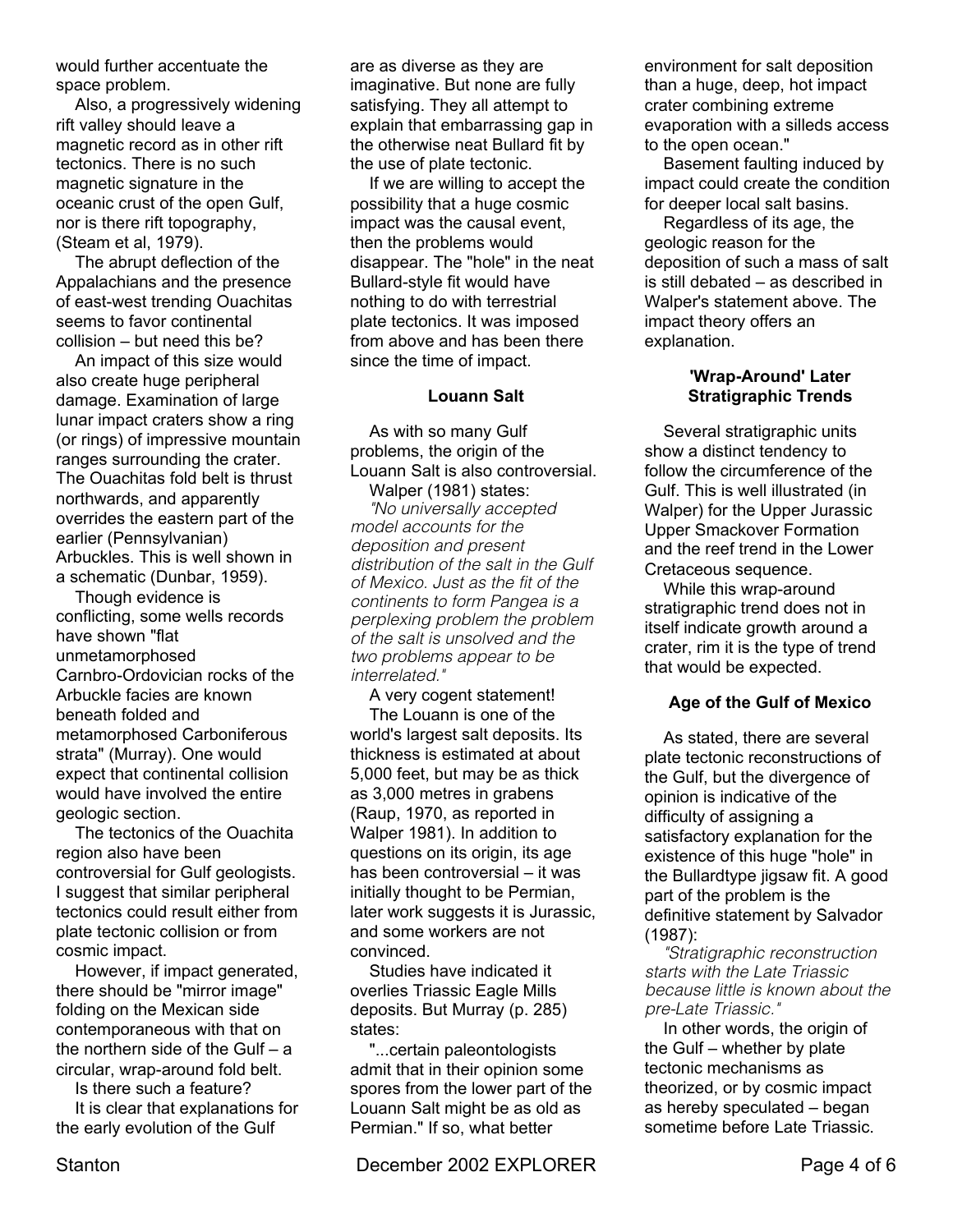would further accentuate the space problem.

Also, a progressively widening rift valley should leave a magnetic record as in other rift tectonics. There is no such magnetic signature in the oceanic crust of the open Gulf, nor is there rift topography, (Steam et al, 1979).

The abrupt deflection of the Appalachians and the presence of east-west trending Ouachitas seems to favor continental  $collision - but need this be?$ 

An impact of this size would also create huge peripheral damage. Examination of large lunar impact craters show a ring (or rings) of impressive mountain ranges surrounding the crater. The Ouachitas fold belt is thrust northwards, and apparently overrides the eastern part of the earlier (Pennsylvanian) Arbuckles. This is well shown in a schematic (Dunbar, 1959).

Though evidence is conflicting, some wells records have shown "flat unmetamorphosed Carnbro-Ordovician rocks of the Arbuckle facies are known beneath folded and metamorphosed Carboniferous strata" (Murray). One would expect that continental collision would have involved the entire geologic section.

The tectonics of the Ouachita region also have been controversial for Gulf geologists. I suggest that similar peripheral tectonics could result either from plate tectonic collision or from cosmic impact.

However, if impact generated, there should be "mirror image" folding on the Mexican side contemporaneous with that on the northern side of the Gulf  $- a$ circular, wrap-around fold belt.

Is there such a feature?

It is clear that explanations for the early evolution of the Gulf

are as diverse as they are imaginative. But none are fully satisfying. They all attempt to explain that embarrassing gap in the otherwise neat Bullard fit by the use of plate tectonic.

If we are willing to accept the possibility that a huge cosmic impact was the causal event, then the problems would disappear. The "hole" in the neat Bullard-style fit would have nothing to do with terrestrial plate tectonics. It was imposed from above and has been there since the time of impact.

#### **Louann Salt**

As with so many Gulf problems, the origin of the Louann Salt is also controversial.

Walper (1981) states: *"No universally accepted model accounts for the deposition and present distribution of the salt in the Gulf of Mexico. Just as the fit of the continents to form Pangea is a perplexing problem the problem of the salt is unsolved and the two problems appear to be interrelated."*

A very cogent statement! The Louann is one of the world's largest salt deposits. Its thickness is estimated at about 5,000 feet, but may be as thick as 3,000 metres in grabens (Raup, 1970, as reported in Walper 1981). In addition to questions on its origin, its age has been controversial  $-$  it was initially thought to be Permian, later work suggests it is Jurassic, and some workers are not convinced.

Studies have indicated it overlies Triassic Eagle Mills deposits. But Murray (p. 285) states:

"...certain paleontologists admit that in their opinion some spores from the lower part of the Louann Salt might be as old as Permian." If so, what better

Stanton **December 2002 EXPLORER** Page 4 of 6

environment for salt deposition than a huge, deep, hot impact crater combining extreme evaporation with a silleds access to the open ocean."

Basement faulting induced by impact could create the condition for deeper local salt basins.

Regardless of its age, the geologic reason for the deposition of such a mass of salt is still debated  $-$  as described in Walper's statement above. The impact theory offers an explanation.

#### **'Wrap-Around' Later Stratigraphic Trends**

Several stratigraphic units show a distinct tendency to follow the circumference of the Gulf. This is well illustrated (in Walper) for the Upper Jurassic Upper Smackover Formation and the reef trend in the Lower Cretaceous sequence.

While this wrap-around stratigraphic trend does not in itself indicate growth around a crater, rim it is the type of trend that would be expected.

### **Age of the Gulf of Mexico**

As stated, there are several plate tectonic reconstructions of the Gulf, but the divergence of opinion is indicative of the difficulty of assigning a satisfactory explanation for the existence of this huge "hole" in the Bullardtype jigsaw fit. A good part of the problem is the definitive statement by Salvador (1987):

*"Stratigraphic reconstruction starts with the Late Triassic because little is known about the pre-Late Triassic."*

In other words, the origin of the Gulf  $-$  whether by plate tectonic mechanisms as theorized, or by cosmic impact as hereby speculated  $-$  began sometime before Late Triassic.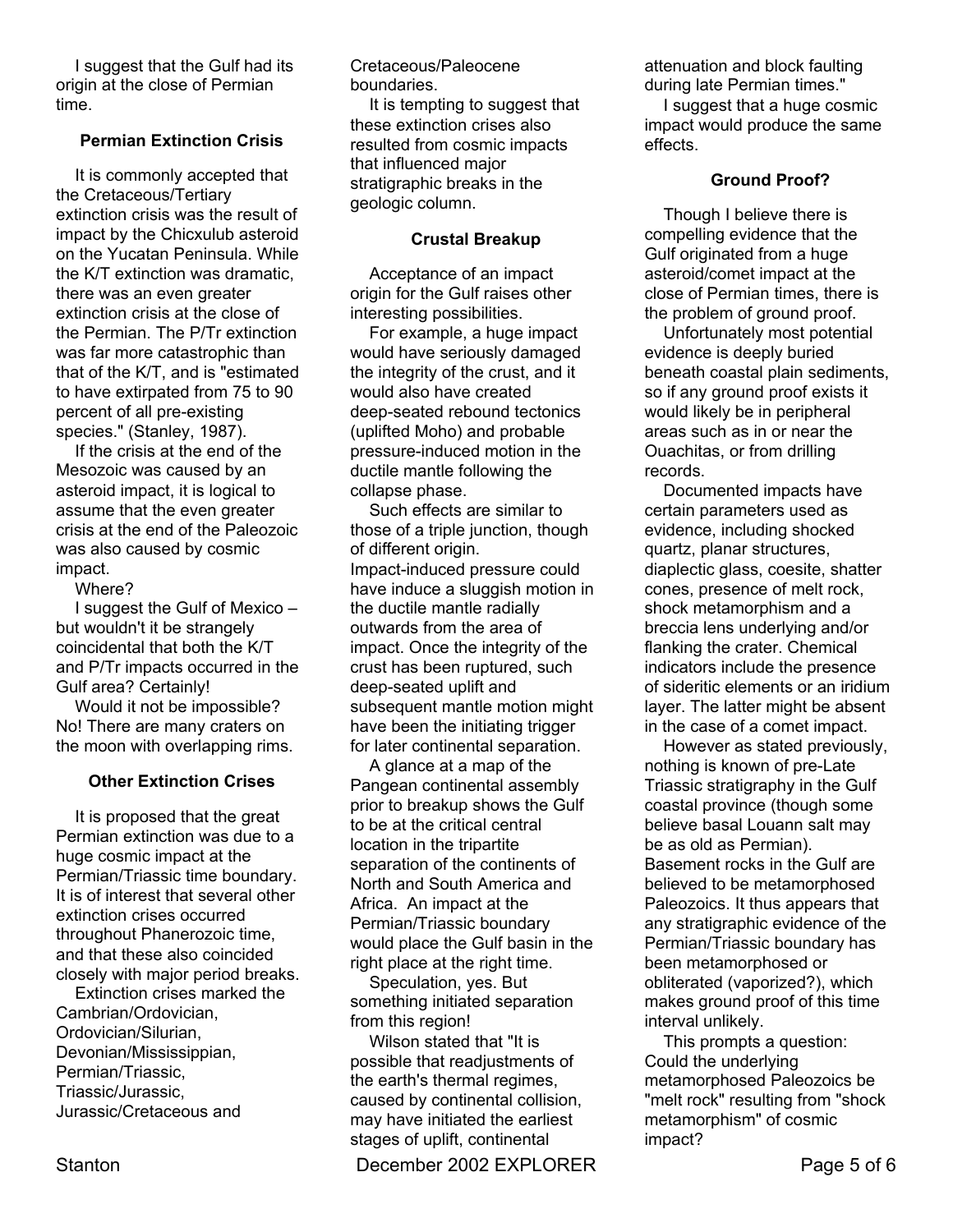I suggest that the Gulf had its origin at the close of Permian time.

#### **Permian Extinction Crisis**

It is commonly accepted that the Cretaceous/Tertiary extinction crisis was the result of impact by the Chicxulub asteroid on the Yucatan Peninsula. While the K/T extinction was dramatic, there was an even greater extinction crisis at the close of the Permian. The P/Tr extinction was far more catastrophic than that of the K/T, and is "estimated to have extirpated from 75 to 90 percent of all pre-existing species." (Stanley, 1987).

If the crisis at the end of the Mesozoic was caused by an asteroid impact, it is logical to assume that the even greater crisis at the end of the Paleozoic was also caused by cosmic impact.

Where?

I suggest the Gulf of Mexico  $$ but wouldn't it be strangely coincidental that both the K/T and P/Tr impacts occurred in the Gulf area? Certainly!

Would it not be impossible? No! There are many craters on the moon with overlapping rims.

### **Other Extinction Crises**

It is proposed that the great Permian extinction was due to a huge cosmic impact at the Permian/Triassic time boundary. It is of interest that several other extinction crises occurred throughout Phanerozoic time, and that these also coincided closely with major period breaks.

Extinction crises marked the Cambrian/Ordovician, Ordovician/Silurian, Devonian/Mississippian, Permian/Triassic, Triassic/Jurassic, Jurassic/Cretaceous and

Cretaceous/Paleocene boundaries.

It is tempting to suggest that these extinction crises also resulted from cosmic impacts that influenced major stratigraphic breaks in the geologic column.

#### **Crustal Breakup**

Acceptance of an impact origin for the Gulf raises other interesting possibilities.

For example, a huge impact would have seriously damaged the integrity of the crust, and it would also have created deep-seated rebound tectonics (uplifted Moho) and probable pressure-induced motion in the ductile mantle following the collapse phase.

Such effects are similar to those of a triple junction, though of different origin. Impact-induced pressure could have induce a sluggish motion in the ductile mantle radially outwards from the area of impact. Once the integrity of the crust has been ruptured, such deep-seated uplift and subsequent mantle motion might have been the initiating trigger for later continental separation.

A glance at a map of the Pangean continental assembly prior to breakup shows the Gulf to be at the critical central location in the tripartite separation of the continents of North and South America and Africa. An impact at the Permian/Triassic boundary would place the Gulf basin in the right place at the right time.

Speculation, yes. But something initiated separation from this region!

Wilson stated that "It is possible that readjustments of the earth's thermal regimes, caused by continental collision, may have initiated the earliest stages of uplift, continental

Stanton **December 2002 EXPLORER** Page 5 of 6

attenuation and block faulting during late Permian times." I suggest that a huge cosmic impact would produce the same effects.

#### **Ground Proof?**

Though I believe there is compelling evidence that the Gulf originated from a huge asteroid/comet impact at the close of Permian times, there is the problem of ground proof.

Unfortunately most potential evidence is deeply buried beneath coastal plain sediments, so if any ground proof exists it would likely be in peripheral areas such as in or near the Ouachitas, or from drilling records.

Documented impacts have certain parameters used as evidence, including shocked quartz, planar structures, diaplectic glass, coesite, shatter cones, presence of melt rock, shock metamorphism and a breccia lens underlying and/or flanking the crater. Chemical indicators include the presence of sideritic elements or an iridium layer. The latter might be absent in the case of a comet impact.

However as stated previously, nothing is known of pre-Late Triassic stratigraphy in the Gulf coastal province (though some believe basal Louann salt may be as old as Permian). Basement rocks in the Gulf are believed to be metamorphosed Paleozoics. It thus appears that any stratigraphic evidence of the Permian/Triassic boundary has been metamorphosed or obliterated (vaporized?), which makes ground proof of this time interval unlikely.

This prompts a question: Could the underlying metamorphosed Paleozoics be "melt rock" resulting from "shock metamorphism" of cosmic impact?